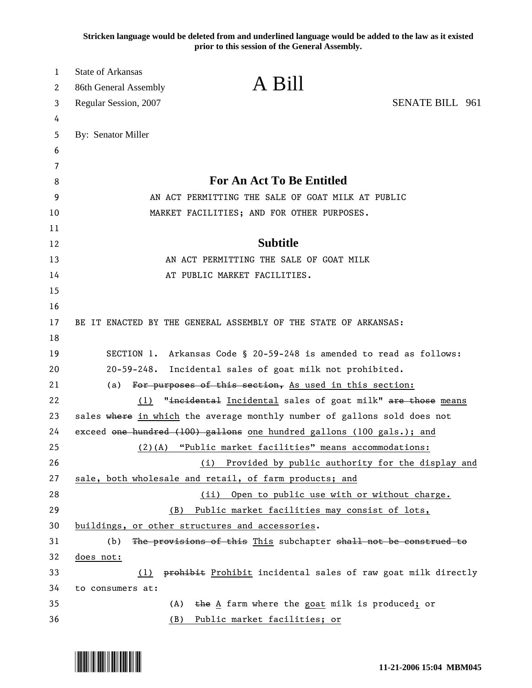**Stricken language would be deleted from and underlined language would be added to the law as it existed prior to this session of the General Assembly.**

| 1        | <b>State of Arkansas</b>                                                                                                                  |  |  |  |  |  |  |  |  |  |  |
|----------|-------------------------------------------------------------------------------------------------------------------------------------------|--|--|--|--|--|--|--|--|--|--|
| 2        | A Bill<br>86th General Assembly                                                                                                           |  |  |  |  |  |  |  |  |  |  |
| 3        | <b>SENATE BILL 961</b><br>Regular Session, 2007                                                                                           |  |  |  |  |  |  |  |  |  |  |
| 4        |                                                                                                                                           |  |  |  |  |  |  |  |  |  |  |
| 5        | By: Senator Miller                                                                                                                        |  |  |  |  |  |  |  |  |  |  |
| 6        |                                                                                                                                           |  |  |  |  |  |  |  |  |  |  |
| 7        |                                                                                                                                           |  |  |  |  |  |  |  |  |  |  |
| 8        | For An Act To Be Entitled                                                                                                                 |  |  |  |  |  |  |  |  |  |  |
| 9        | AN ACT PERMITTING THE SALE OF GOAT MILK AT PUBLIC                                                                                         |  |  |  |  |  |  |  |  |  |  |
| 10       | MARKET FACILITIES; AND FOR OTHER PURPOSES.                                                                                                |  |  |  |  |  |  |  |  |  |  |
| 11       |                                                                                                                                           |  |  |  |  |  |  |  |  |  |  |
| 12       | <b>Subtitle</b>                                                                                                                           |  |  |  |  |  |  |  |  |  |  |
| 13       | AN ACT PERMITTING THE SALE OF GOAT MILK                                                                                                   |  |  |  |  |  |  |  |  |  |  |
| 14       | AT PUBLIC MARKET FACILITIES.                                                                                                              |  |  |  |  |  |  |  |  |  |  |
| 15       |                                                                                                                                           |  |  |  |  |  |  |  |  |  |  |
| 16       |                                                                                                                                           |  |  |  |  |  |  |  |  |  |  |
| 17       | BE IT ENACTED BY THE GENERAL ASSEMBLY OF THE STATE OF ARKANSAS:                                                                           |  |  |  |  |  |  |  |  |  |  |
| 18<br>19 |                                                                                                                                           |  |  |  |  |  |  |  |  |  |  |
| 20       | SECTION 1. Arkansas Code § 20-59-248 is amended to read as follows:<br>$20 - 59 - 248$ .<br>Incidental sales of goat milk not prohibited. |  |  |  |  |  |  |  |  |  |  |
| 21       | (a)<br>For purposes of this section, As used in this section:                                                                             |  |  |  |  |  |  |  |  |  |  |
| 22       | "incidental Incidental sales of goat milk" are those means<br>(1)                                                                         |  |  |  |  |  |  |  |  |  |  |
| 23       | sales where in which the average monthly number of gallons sold does not                                                                  |  |  |  |  |  |  |  |  |  |  |
| 24       | exceed one hundred (100) gallons one hundred gallons (100 gals.); and                                                                     |  |  |  |  |  |  |  |  |  |  |
| 25       | (2)(A) "Public market facilities" means accommodations:                                                                                   |  |  |  |  |  |  |  |  |  |  |
| 26       | Provided by public authority for the display and<br>(i)                                                                                   |  |  |  |  |  |  |  |  |  |  |
| 27       | sale, both wholesale and retail, of farm products; and                                                                                    |  |  |  |  |  |  |  |  |  |  |
| 28       | Open to public use with or without charge.<br>(ii)                                                                                        |  |  |  |  |  |  |  |  |  |  |
| 29       | Public market facilities may consist of lots,<br>(B)                                                                                      |  |  |  |  |  |  |  |  |  |  |
| 30       | buildings, or other structures and accessories.                                                                                           |  |  |  |  |  |  |  |  |  |  |
| 31       | The provisions of this This subchapter shall not be construed to<br>(b)                                                                   |  |  |  |  |  |  |  |  |  |  |
| 32       | does not:                                                                                                                                 |  |  |  |  |  |  |  |  |  |  |
| 33       | prohibit Prohibit incidental sales of raw goat milk directly<br>(1)                                                                       |  |  |  |  |  |  |  |  |  |  |
| 34       | to consumers at:                                                                                                                          |  |  |  |  |  |  |  |  |  |  |
| 35       | the A farm where the goat milk is produced; or<br>(A)                                                                                     |  |  |  |  |  |  |  |  |  |  |
| 36       | Public market facilities; or<br>(B)                                                                                                       |  |  |  |  |  |  |  |  |  |  |